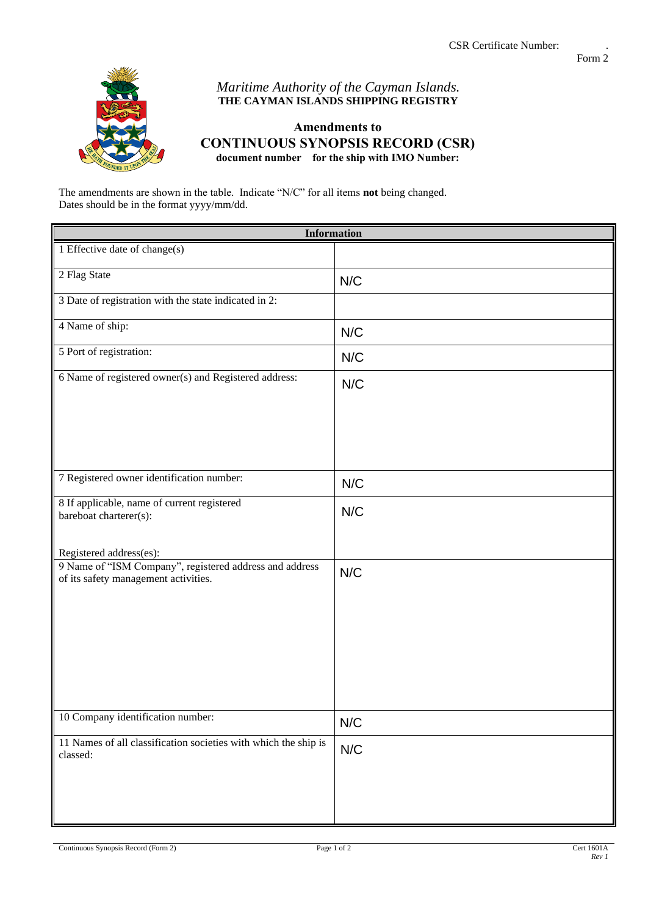

## *Maritime Authority of the Cayman Islands.* **THE CAYMAN ISLANDS SHIPPING REGISTRY**

## **Amendments to CONTINUOUS SYNOPSIS RECORD (CSR) document number for the ship with IMO Number:**

The amendments are shown in the table. Indicate "N/C" for all items **not** being changed. Dates should be in the format yyyy/mm/dd.

| <b>Information</b>                                                                               |     |
|--------------------------------------------------------------------------------------------------|-----|
| 1 Effective date of change(s)                                                                    |     |
| 2 Flag State                                                                                     | N/C |
| 3 Date of registration with the state indicated in 2:                                            |     |
| 4 Name of ship:                                                                                  | N/C |
| 5 Port of registration:                                                                          | N/C |
| 6 Name of registered owner(s) and Registered address:                                            | N/C |
| 7 Registered owner identification number:                                                        | N/C |
| 8 If applicable, name of current registered<br>bareboat charterer(s):<br>Registered address(es): | N/C |
| 9 Name of "ISM Company", registered address and address<br>of its safety management activities.  | N/C |
| 10 Company identification number:                                                                | N/C |
| 11 Names of all classification societies with which the ship is<br>classed:                      | N/C |

Continuous Synopsis Record (Form 2) Page 1 of 2 Cert 1601A